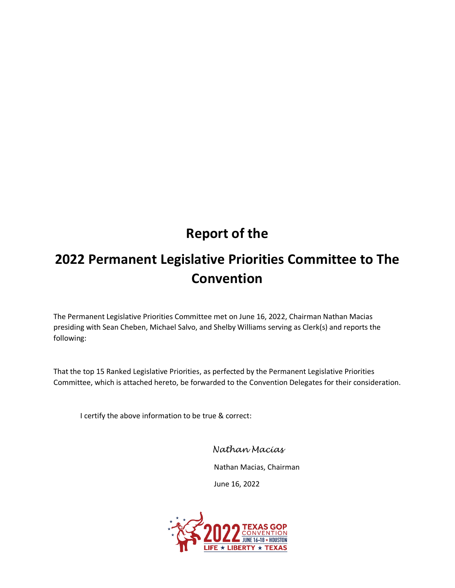# **Report of the**

# **2022 Permanent Legislative Priorities Committee to The Convention**

The Permanent Legislative Priorities Committee met on June 16, 2022, Chairman Nathan Macias presiding with Sean Cheben, Michael Salvo, and Shelby Williams serving as Clerk(s) and reports the following:

That the top 15 Ranked Legislative Priorities, as perfected by the Permanent Legislative Priorities Committee, which is attached hereto, be forwarded to the Convention Delegates for their consideration.

I certify the above information to be true & correct:

*Nathan Macias*

Nathan Macias, Chairman

June 16, 2022

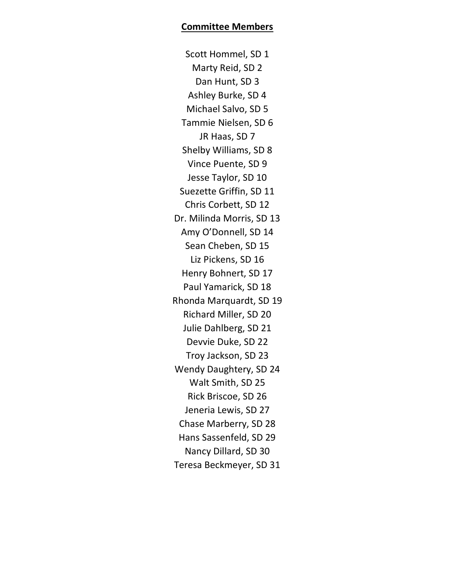Scott Hommel, SD 1 Marty Reid, SD 2 Dan Hunt, SD 3 Ashley Burke, SD 4 Michael Salvo, SD 5 Tammie Nielsen, SD 6 JR Haas, SD 7 Shelby Williams, SD 8 Vince Puente, SD 9 Jesse Taylor, SD 10 Suezette Griffin, SD 11 Chris Corbett, SD 12 Dr. Milinda Morris, SD 13 Amy O'Donnell, SD 14 Sean Cheben, SD 15 Liz Pickens, SD 16 Henry Bohnert, SD 17 Paul Yamarick, SD 18 Rhonda Marquardt, SD 19 Richard Miller, SD 20 Julie Dahlberg, SD 21 Devvie Duke, SD 22 Troy Jackson, SD 23 Wendy Daughtery, SD 24 Walt Smith, SD 25 Rick Briscoe, SD 26 Jeneria Lewis, SD 27 Chase Marberry, SD 28 Hans Sassenfeld, SD 29 Nancy Dillard, SD 30 Teresa Beckmeyer, SD 31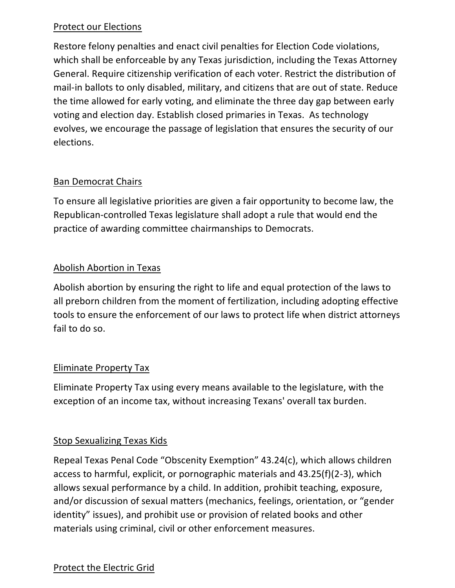## Protect our Elections

Restore felony penalties and enact civil penalties for Election Code violations, which shall be enforceable by any Texas jurisdiction, including the Texas Attorney General. Require citizenship verification of each voter. Restrict the distribution of mail-in ballots to only disabled, military, and citizens that are out of state. Reduce the time allowed for early voting, and eliminate the three day gap between early voting and election day. Establish closed primaries in Texas. As technology evolves, we encourage the passage of legislation that ensures the security of our elections.

## **Ban Democrat Chairs**

To ensure all legislative priorities are given a fair opportunity to become law, the Republican-controlled Texas legislature shall adopt a rule that would end the practice of awarding committee chairmanships to Democrats.

## Abolish Abortion in Texas

Abolish abortion by ensuring the right to life and equal protection of the laws to all preborn children from the moment of fertilization, including adopting effective tools to ensure the enforcement of our laws to protect life when district attorneys fail to do so.

### Eliminate Property Tax

Eliminate Property Tax using every means available to the legislature, with the exception of an income tax, without increasing Texans' overall tax burden.

### Stop Sexualizing Texas Kids

Repeal Texas Penal Code "Obscenity Exemption" 43.24(c), which allows children access to harmful, explicit, or pornographic materials and 43.25(f)(2-3), which allows sexual performance by a child. In addition, prohibit teaching, exposure, and/or discussion of sexual matters (mechanics, feelings, orientation, or "gender identity" issues), and prohibit use or provision of related books and other materials using criminal, civil or other enforcement measures.

### Protect the Electric Grid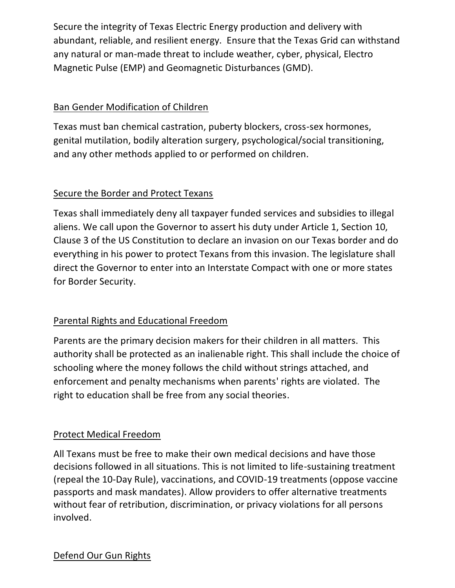Secure the integrity of Texas Electric Energy production and delivery with abundant, reliable, and resilient energy. Ensure that the Texas Grid can withstand any natural or man-made threat to include weather, cyber, physical, Electro Magnetic Pulse (EMP) and Geomagnetic Disturbances (GMD).

## Ban Gender Modification of Children

Texas must ban chemical castration, puberty blockers, cross-sex hormones, genital mutilation, bodily alteration surgery, psychological/social transitioning, and any other methods applied to or performed on children.

# Secure the Border and Protect Texans

Texas shall immediately deny all taxpayer funded services and subsidies to illegal aliens. We call upon the Governor to assert his duty under Article 1, Section 10, Clause 3 of the US Constitution to declare an invasion on our Texas border and do everything in his power to protect Texans from this invasion. The legislature shall direct the Governor to enter into an Interstate Compact with one or more states for Border Security.

# Parental Rights and Educational Freedom

Parents are the primary decision makers for their children in all matters. This authority shall be protected as an inalienable right. This shall include the choice of schooling where the money follows the child without strings attached, and enforcement and penalty mechanisms when parents' rights are violated. The right to education shall be free from any social theories.

# Protect Medical Freedom

All Texans must be free to make their own medical decisions and have those decisions followed in all situations. This is not limited to life-sustaining treatment (repeal the 10-Day Rule), vaccinations, and COVID-19 treatments (oppose vaccine passports and mask mandates). Allow providers to offer alternative treatments without fear of retribution, discrimination, or privacy violations for all persons involved.

### Defend Our Gun Rights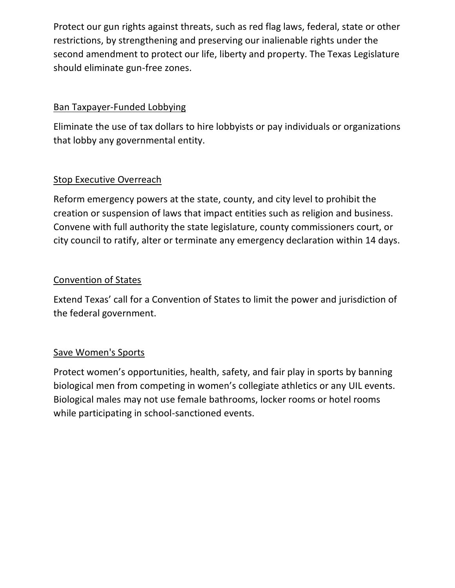Protect our gun rights against threats, such as red flag laws, federal, state or other restrictions, by strengthening and preserving our inalienable rights under the second amendment to protect our life, liberty and property. The Texas Legislature should eliminate gun-free zones.

## Ban Taxpayer-Funded Lobbying

Eliminate the use of tax dollars to hire lobbyists or pay individuals or organizations that lobby any governmental entity.

## Stop Executive Overreach

Reform emergency powers at the state, county, and city level to prohibit the creation or suspension of laws that impact entities such as religion and business. Convene with full authority the state legislature, county commissioners court, or city council to ratify, alter or terminate any emergency declaration within 14 days.

### Convention of States

Extend Texas' call for a Convention of States to limit the power and jurisdiction of the federal government.

### Save Women's Sports

Protect women's opportunities, health, safety, and fair play in sports by banning biological men from competing in women's collegiate athletics or any UIL events. Biological males may not use female bathrooms, locker rooms or hotel rooms while participating in school-sanctioned events.